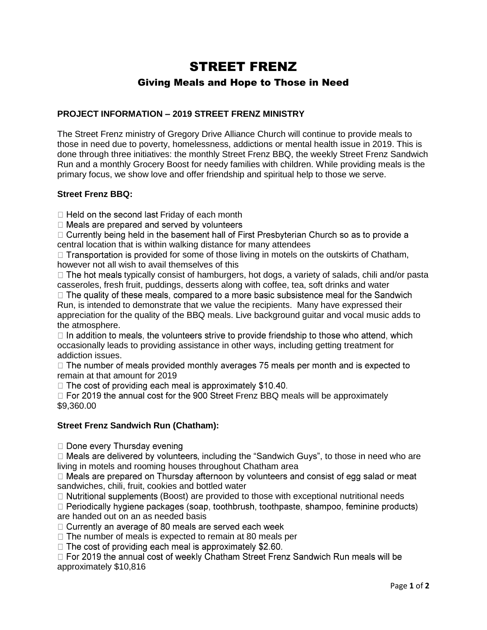# STREET FRENZ Giving Meals and Hope to Those in Need

# **PROJECT INFORMATION – 2019 STREET FRENZ MINISTRY**

The Street Frenz ministry of Gregory Drive Alliance Church will continue to provide meals to those in need due to poverty, homelessness, addictions or mental health issue in 2019. This is done through three initiatives: the monthly Street Frenz BBQ, the weekly Street Frenz Sandwich Run and a monthly Grocery Boost for needy families with children. While providing meals is the primary focus, we show love and offer friendship and spiritual help to those we serve.

### **Street Frenz BBQ:**

 $\Box$  Held on the second last Friday of each month

 $\Box$  Meals are prepared and served by volunteers

 $\Box$  Currently being held in the basement hall of First Presbyterian Church so as to provide a central location that is within walking distance for many attendees

 $\Box$  Transportation is provided for some of those living in motels on the outskirts of Chatham, however not all wish to avail themselves of this

 $\Box$  The hot meals typically consist of hamburgers, hot dogs, a variety of salads, chili and/or pasta

casseroles, fresh fruit, puddings, desserts along with coffee, tea, soft drinks and water<br>  $\square$  The quality of these meals, compared to a more basic subsistence meal for the Sandwich Run, is intended to demonstrate that we value the recipients. Many have expressed their appreciation for the quality of the BBQ meals. Live background guitar and vocal music adds to the atmosphere.

 $\Box$  In addition to meals, the volunteers strive to provide friendship to those who attend, which occasionally leads to providing assistance in other ways, including getting treatment for addiction issues.

 $\Box$  The number of meals provided monthly averages 75 meals per month and is expected to remain at that amount for 2019

 $\Box$  The cost of providing each meal is approximately \$10.40.

 $\Box$  For 2019 the annual cost for the 900 Street Frenz BBQ meals will be approximately \$9,360.00

## **Street Frenz Sandwich Run (Chatham):**

 $\Box$  Done every Thursday evening

 $\Box$  Meals are delivered by volunteers, including the "Sandwich Guys", to those in need who are living in motels and rooming houses throughout Chatham area

 $\Box$  Meals are prepared on Thursday afternoon by volunteers and consist of egg salad or meat sandwiches, chili, fruit, cookies and bottled water

 $\Box$  Nutritional supplements (Boost) are provided to those with exceptional nutritional needs

 $\Box$  Periodically hygiene packages (soap, toothbrush, toothpaste, shampoo, feminine products) are handed out on an as needed basis

□ Currently an average of 80 meals are served each week

 $\Box$  The number of meals is expected to remain at 80 meals per

 $\Box$  The cost of providing each meal is approximately \$2.60.

□ For 2019 the annual cost of weekly Chatham Street Frenz Sandwich Run meals will be approximately \$10,816